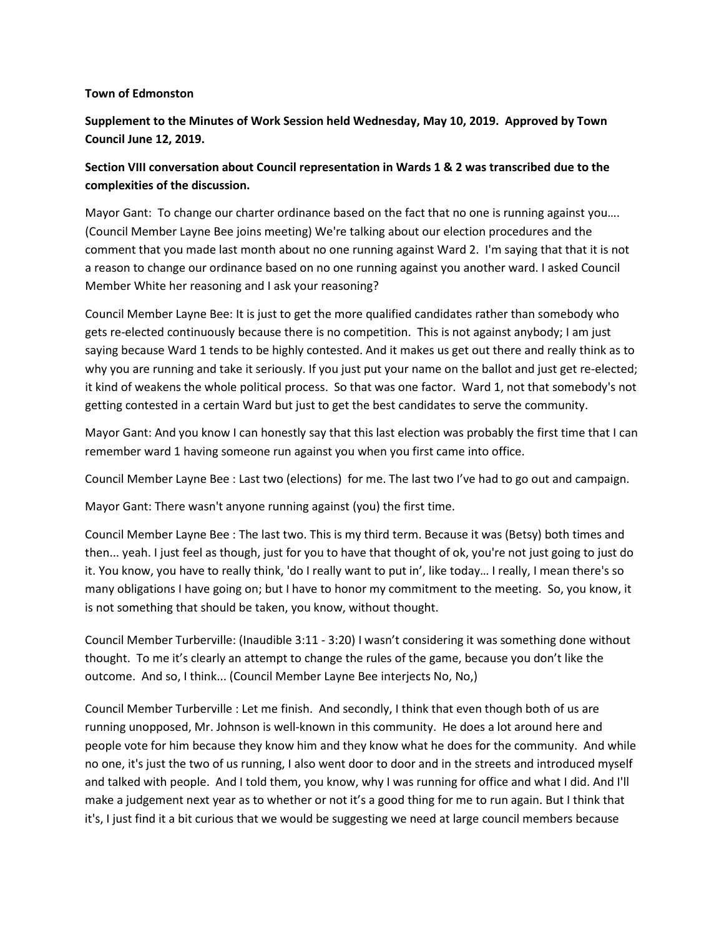## **Town of Edmonston**

## **Supplement to the Minutes of Work Session held Wednesday, May 10, 2019. Approved by Town Council June 12, 2019.**

## **Section VIII conversation about Council representation in Wards 1 & 2 was transcribed due to the complexities of the discussion.**

Mayor Gant: To change our charter ordinance based on the fact that no one is running against you.... (Council Member Layne Bee joins meeting) We're talking about our election procedures and the comment that you made last month about no one running against Ward 2. I'm saying that that it is not a reason to change our ordinance based on no one running against you another ward. I asked Council Member White her reasoning and I ask your reasoning?

Council Member Layne Bee: It is just to get the more qualified candidates rather than somebody who gets re-elected continuously because there is no competition. This is not against anybody; I am just saying because Ward 1 tends to be highly contested. And it makes us get out there and really think as to why you are running and take it seriously. If you just put your name on the ballot and just get re-elected; it kind of weakens the whole political process. So that was one factor. Ward 1, not that somebody's not getting contested in a certain Ward but just to get the best candidates to serve the community.

Mayor Gant: And you know I can honestly say that this last election was probably the first time that I can remember ward 1 having someone run against you when you first came into office.

Council Member Layne Bee : Last two (elections) for me. The last two I've had to go out and campaign.

Mayor Gant: There wasn't anyone running against (you) the first time.

Council Member Layne Bee : The last two. This is my third term. Because it was (Betsy) both times and then... yeah. I just feel as though, just for you to have that thought of ok, you're not just going to just do it. You know, you have to really think, 'do I really want to put in', like today… I really, I mean there's so many obligations I have going on; but I have to honor my commitment to the meeting. So, you know, it is not something that should be taken, you know, without thought.

Council Member Turberville: (Inaudible 3:11 - 3:20) I wasn't considering it was something done without thought. To me it's clearly an attempt to change the rules of the game, because you don't like the outcome. And so, I think... (Council Member Layne Bee interjects No, No,)

Council Member Turberville : Let me finish. And secondly, I think that even though both of us are running unopposed, Mr. Johnson is well-known in this community. He does a lot around here and people vote for him because they know him and they know what he does for the community. And while no one, it's just the two of us running, I also went door to door and in the streets and introduced myself and talked with people. And I told them, you know, why I was running for office and what I did. And I'll make a judgement next year as to whether or not it's a good thing for me to run again. But I think that it's, I just find it a bit curious that we would be suggesting we need at large council members because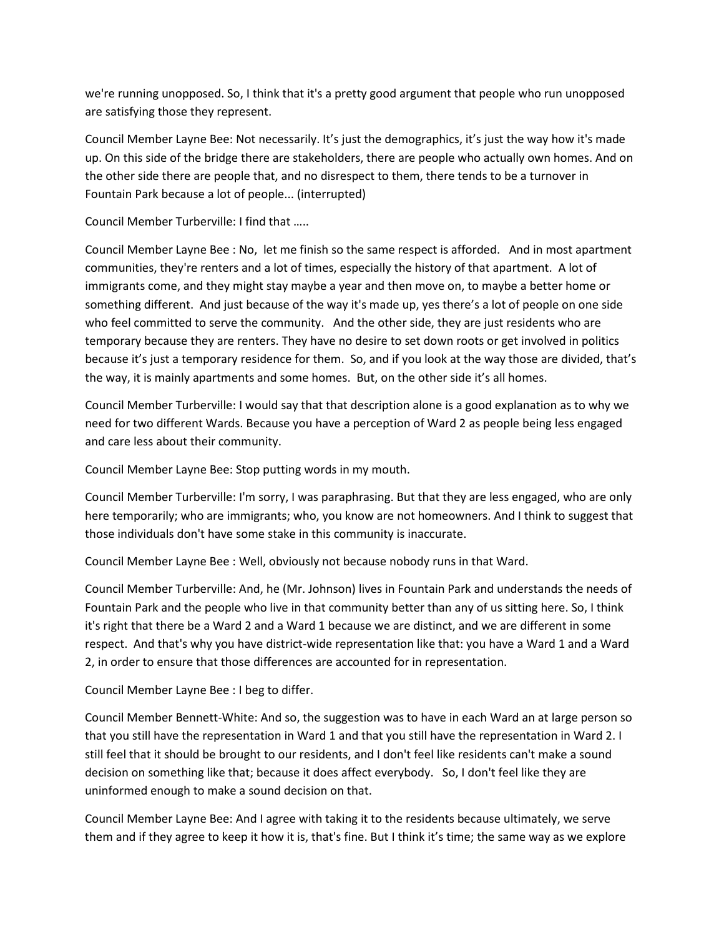we're running unopposed. So, I think that it's a pretty good argument that people who run unopposed are satisfying those they represent.

Council Member Layne Bee: Not necessarily. It's just the demographics, it's just the way how it's made up. On this side of the bridge there are stakeholders, there are people who actually own homes. And on the other side there are people that, and no disrespect to them, there tends to be a turnover in Fountain Park because a lot of people... (interrupted)

Council Member Turberville: I find that …..

Council Member Layne Bee : No, let me finish so the same respect is afforded. And in most apartment communities, they're renters and a lot of times, especially the history of that apartment. A lot of immigrants come, and they might stay maybe a year and then move on, to maybe a better home or something different. And just because of the way it's made up, yes there's a lot of people on one side who feel committed to serve the community. And the other side, they are just residents who are temporary because they are renters. They have no desire to set down roots or get involved in politics because it's just a temporary residence for them. So, and if you look at the way those are divided, that's the way, it is mainly apartments and some homes. But, on the other side it's all homes.

Council Member Turberville: I would say that that description alone is a good explanation as to why we need for two different Wards. Because you have a perception of Ward 2 as people being less engaged and care less about their community.

Council Member Layne Bee: Stop putting words in my mouth.

Council Member Turberville: I'm sorry, I was paraphrasing. But that they are less engaged, who are only here temporarily; who are immigrants; who, you know are not homeowners. And I think to suggest that those individuals don't have some stake in this community is inaccurate.

Council Member Layne Bee : Well, obviously not because nobody runs in that Ward.

Council Member Turberville: And, he (Mr. Johnson) lives in Fountain Park and understands the needs of Fountain Park and the people who live in that community better than any of us sitting here. So, I think it's right that there be a Ward 2 and a Ward 1 because we are distinct, and we are different in some respect. And that's why you have district-wide representation like that: you have a Ward 1 and a Ward 2, in order to ensure that those differences are accounted for in representation.

Council Member Layne Bee : I beg to differ.

Council Member Bennett-White: And so, the suggestion was to have in each Ward an at large person so that you still have the representation in Ward 1 and that you still have the representation in Ward 2. I still feel that it should be brought to our residents, and I don't feel like residents can't make a sound decision on something like that; because it does affect everybody. So, I don't feel like they are uninformed enough to make a sound decision on that.

Council Member Layne Bee: And I agree with taking it to the residents because ultimately, we serve them and if they agree to keep it how it is, that's fine. But I think it's time; the same way as we explore